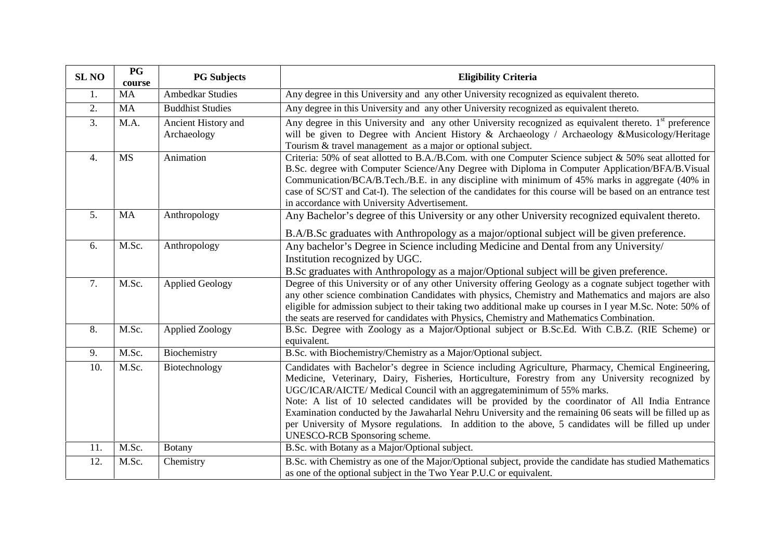| <b>SL NO</b>     | P G<br>course | <b>PG</b> Subjects                 | <b>Eligibility Criteria</b>                                                                                                                                                                                                                                                                                                                                                                                                                                                                                                                                                                                                                |
|------------------|---------------|------------------------------------|--------------------------------------------------------------------------------------------------------------------------------------------------------------------------------------------------------------------------------------------------------------------------------------------------------------------------------------------------------------------------------------------------------------------------------------------------------------------------------------------------------------------------------------------------------------------------------------------------------------------------------------------|
| 1.               | <b>MA</b>     | <b>Ambedkar Studies</b>            | Any degree in this University and any other University recognized as equivalent thereto.                                                                                                                                                                                                                                                                                                                                                                                                                                                                                                                                                   |
| 2.               | MA            | <b>Buddhist Studies</b>            | Any degree in this University and any other University recognized as equivalent thereto.                                                                                                                                                                                                                                                                                                                                                                                                                                                                                                                                                   |
| 3.               | M.A.          | Ancient History and<br>Archaeology | Any degree in this University and any other University recognized as equivalent thereto. 1 <sup>st</sup> preference<br>will be given to Degree with Ancient History & Archaeology / Archaeology & Musicology/Heritage<br>Tourism & travel management as a major or optional subject.                                                                                                                                                                                                                                                                                                                                                       |
| $\overline{4}$ . | <b>MS</b>     | Animation                          | Criteria: 50% of seat allotted to B.A./B.Com. with one Computer Science subject & 50% seat allotted for<br>B.Sc. degree with Computer Science/Any Degree with Diploma in Computer Application/BFA/B.Visual<br>Communication/BCA/B.Tech./B.E. in any discipline with minimum of 45% marks in aggregate (40% in<br>case of SC/ST and Cat-I). The selection of the candidates for this course will be based on an entrance test<br>in accordance with University Advertisement.                                                                                                                                                               |
| 5.               | MA            | Anthropology                       | Any Bachelor's degree of this University or any other University recognized equivalent thereto.<br>B.A/B.Sc graduates with Anthropology as a major/optional subject will be given preference.                                                                                                                                                                                                                                                                                                                                                                                                                                              |
| 6.               | M.Sc.         | Anthropology                       | Any bachelor's Degree in Science including Medicine and Dental from any University/<br>Institution recognized by UGC.<br>B.Sc graduates with Anthropology as a major/Optional subject will be given preference.                                                                                                                                                                                                                                                                                                                                                                                                                            |
| 7.               | M.Sc.         | <b>Applied Geology</b>             | Degree of this University or of any other University offering Geology as a cognate subject together with<br>any other science combination Candidates with physics, Chemistry and Mathematics and majors are also<br>eligible for admission subject to their taking two additional make up courses in I year M.Sc. Note: 50% of<br>the seats are reserved for candidates with Physics, Chemistry and Mathematics Combination.                                                                                                                                                                                                               |
| 8.               | M.Sc.         | <b>Applied Zoology</b>             | B.Sc. Degree with Zoology as a Major/Optional subject or B.Sc.Ed. With C.B.Z. (RIE Scheme) or<br>equivalent.                                                                                                                                                                                                                                                                                                                                                                                                                                                                                                                               |
| 9.               | M.Sc.         | Biochemistry                       | B.Sc. with Biochemistry/Chemistry as a Major/Optional subject.                                                                                                                                                                                                                                                                                                                                                                                                                                                                                                                                                                             |
| 10.              | M.Sc.         | Biotechnology                      | Candidates with Bachelor's degree in Science including Agriculture, Pharmacy, Chemical Engineering,<br>Medicine, Veterinary, Dairy, Fisheries, Horticulture, Forestry from any University recognized by<br>UGC/ICAR/AICTE/ Medical Council with an aggregateminimum of 55% marks.<br>Note: A list of 10 selected candidates will be provided by the coordinator of All India Entrance<br>Examination conducted by the Jawaharlal Nehru University and the remaining 06 seats will be filled up as<br>per University of Mysore regulations. In addition to the above, 5 candidates will be filled up under<br>UNESCO-RCB Sponsoring scheme. |
| 11.              | M.Sc.         | <b>Botany</b>                      | B.Sc. with Botany as a Major/Optional subject.                                                                                                                                                                                                                                                                                                                                                                                                                                                                                                                                                                                             |
| 12.              | M.Sc.         | Chemistry                          | B.Sc. with Chemistry as one of the Major/Optional subject, provide the candidate has studied Mathematics<br>as one of the optional subject in the Two Year P.U.C or equivalent.                                                                                                                                                                                                                                                                                                                                                                                                                                                            |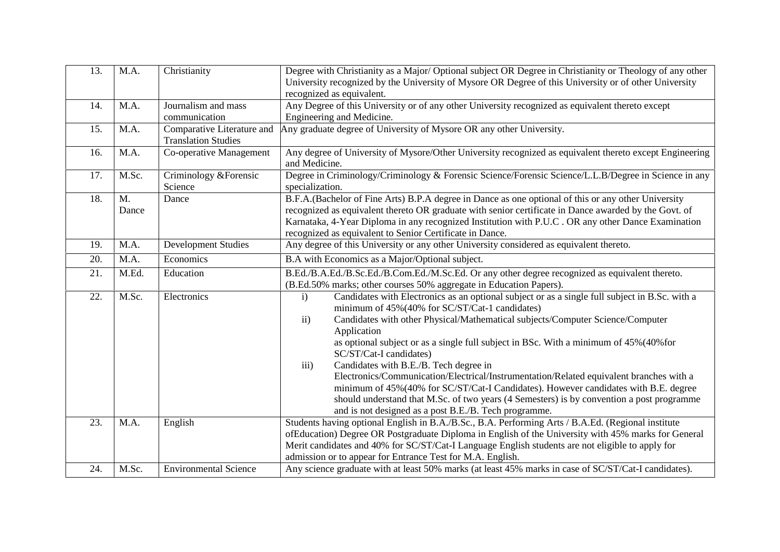| 13. | M.A.        | Christianity                                             | Degree with Christianity as a Major/Optional subject OR Degree in Christianity or Theology of any other<br>University recognized by the University of Mysore OR Degree of this University or of other University<br>recognized as equivalent.                                                                                                                                                                                                                                                                                                                                                                                                                                                                                                                                           |
|-----|-------------|----------------------------------------------------------|-----------------------------------------------------------------------------------------------------------------------------------------------------------------------------------------------------------------------------------------------------------------------------------------------------------------------------------------------------------------------------------------------------------------------------------------------------------------------------------------------------------------------------------------------------------------------------------------------------------------------------------------------------------------------------------------------------------------------------------------------------------------------------------------|
| 14. | M.A.        | Journalism and mass<br>communication                     | Any Degree of this University or of any other University recognized as equivalent thereto except<br>Engineering and Medicine.                                                                                                                                                                                                                                                                                                                                                                                                                                                                                                                                                                                                                                                           |
| 15. | M.A.        | Comparative Literature and<br><b>Translation Studies</b> | Any graduate degree of University of Mysore OR any other University.                                                                                                                                                                                                                                                                                                                                                                                                                                                                                                                                                                                                                                                                                                                    |
| 16. | M.A.        | Co-operative Management                                  | Any degree of University of Mysore/Other University recognized as equivalent thereto except Engineering<br>and Medicine.                                                                                                                                                                                                                                                                                                                                                                                                                                                                                                                                                                                                                                                                |
| 17. | M.Sc.       | Criminology & Forensic<br>Science                        | Degree in Criminology/Criminology & Forensic Science/Forensic Science/L.L.B/Degree in Science in any<br>specialization.                                                                                                                                                                                                                                                                                                                                                                                                                                                                                                                                                                                                                                                                 |
| 18. | M.<br>Dance | Dance                                                    | B.F.A. (Bachelor of Fine Arts) B.P.A degree in Dance as one optional of this or any other University<br>recognized as equivalent thereto OR graduate with senior certificate in Dance awarded by the Govt. of<br>Karnataka, 4-Year Diploma in any recognized Institution with P.U.C. OR any other Dance Examination<br>recognized as equivalent to Senior Certificate in Dance.                                                                                                                                                                                                                                                                                                                                                                                                         |
| 19. | M.A.        | <b>Development Studies</b>                               | Any degree of this University or any other University considered as equivalent thereto.                                                                                                                                                                                                                                                                                                                                                                                                                                                                                                                                                                                                                                                                                                 |
| 20. | M.A.        | Economics                                                | B.A with Economics as a Major/Optional subject.                                                                                                                                                                                                                                                                                                                                                                                                                                                                                                                                                                                                                                                                                                                                         |
| 21. | M.Ed.       | Education                                                | B.Ed./B.A.Ed./B.Sc.Ed./B.Com.Ed./M.Sc.Ed. Or any other degree recognized as equivalent thereto.<br>(B.Ed.50% marks; other courses 50% aggregate in Education Papers).                                                                                                                                                                                                                                                                                                                                                                                                                                                                                                                                                                                                                   |
| 22. | M.Sc.       | Electronics                                              | Candidates with Electronics as an optional subject or as a single full subject in B.Sc. with a<br>$\mathbf{i}$<br>minimum of 45%(40% for SC/ST/Cat-1 candidates)<br>Candidates with other Physical/Mathematical subjects/Computer Science/Computer<br>ii)<br>Application<br>as optional subject or as a single full subject in BSc. With a minimum of 45% (40% for<br>SC/ST/Cat-I candidates)<br>Candidates with B.E./B. Tech degree in<br>iii)<br>Electronics/Communication/Electrical/Instrumentation/Related equivalent branches with a<br>minimum of 45%(40% for SC/ST/Cat-I Candidates). However candidates with B.E. degree<br>should understand that M.Sc. of two years (4 Semesters) is by convention a post programme<br>and is not designed as a post B.E./B. Tech programme. |
| 23. | M.A.        | English                                                  | Students having optional English in B.A./B.Sc., B.A. Performing Arts / B.A.Ed. (Regional institute<br>ofEducation) Degree OR Postgraduate Diploma in English of the University with 45% marks for General<br>Merit candidates and 40% for SC/ST/Cat-I Language English students are not eligible to apply for<br>admission or to appear for Entrance Test for M.A. English.                                                                                                                                                                                                                                                                                                                                                                                                             |
| 24. | M.Sc.       | <b>Environmental Science</b>                             | Any science graduate with at least 50% marks (at least 45% marks in case of SC/ST/Cat-I candidates).                                                                                                                                                                                                                                                                                                                                                                                                                                                                                                                                                                                                                                                                                    |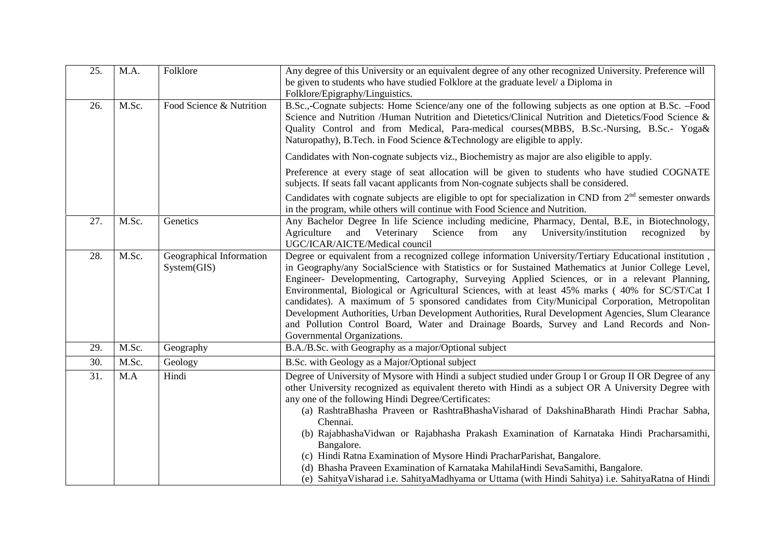| 25. | M.A.  | Folklore                                | Any degree of this University or an equivalent degree of any other recognized University. Preference will<br>be given to students who have studied Folklore at the graduate level/ a Diploma in                                                                                                                                                                                                                                                                                                                                                                                                                                                                                                                                                                    |
|-----|-------|-----------------------------------------|--------------------------------------------------------------------------------------------------------------------------------------------------------------------------------------------------------------------------------------------------------------------------------------------------------------------------------------------------------------------------------------------------------------------------------------------------------------------------------------------------------------------------------------------------------------------------------------------------------------------------------------------------------------------------------------------------------------------------------------------------------------------|
| 26. | M.Sc. | Food Science & Nutrition                | Folklore/Epigraphy/Linguistics.<br>B.Sc.,-Cognate subjects: Home Science/any one of the following subjects as one option at B.Sc. -Food<br>Science and Nutrition /Human Nutrition and Dietetics/Clinical Nutrition and Dietetics/Food Science &<br>Quality Control and from Medical, Para-medical courses(MBBS, B.Sc.-Nursing, B.Sc.- Yoga&<br>Naturopathy), B.Tech. in Food Science &Technology are eligible to apply.                                                                                                                                                                                                                                                                                                                                            |
|     |       |                                         | Candidates with Non-cognate subjects viz., Biochemistry as major are also eligible to apply.                                                                                                                                                                                                                                                                                                                                                                                                                                                                                                                                                                                                                                                                       |
|     |       |                                         | Preference at every stage of seat allocation will be given to students who have studied COGNATE<br>subjects. If seats fall vacant applicants from Non-cognate subjects shall be considered.                                                                                                                                                                                                                                                                                                                                                                                                                                                                                                                                                                        |
|     |       |                                         | Candidates with cognate subjects are eligible to opt for specialization in CND from $2nd$ semester onwards<br>in the program, while others will continue with Food Science and Nutrition.                                                                                                                                                                                                                                                                                                                                                                                                                                                                                                                                                                          |
| 27. | M.Sc. | Genetics                                | Any Bachelor Degree In life Science including medicine, Pharmacy, Dental, B.E., in Biotechnology,<br>Science<br>University/institution<br>Agriculture<br>and Veterinary<br>from<br>any<br>recognized<br>by<br>UGC/ICAR/AICTE/Medical council                                                                                                                                                                                                                                                                                                                                                                                                                                                                                                                       |
| 28. | M.Sc. | Geographical Information<br>System(GIS) | Degree or equivalent from a recognized college information University/Tertiary Educational institution,<br>in Geography/any SocialScience with Statistics or for Sustained Mathematics at Junior College Level,<br>Engineer- Developmenting, Cartography, Surveying Applied Sciences, or in a relevant Planning,<br>Environmental, Biological or Agricultural Sciences, with at least 45% marks (40% for SC/ST/Cat I<br>candidates). A maximum of 5 sponsored candidates from City/Municipal Corporation, Metropolitan<br>Development Authorities, Urban Development Authorities, Rural Development Agencies, Slum Clearance<br>and Pollution Control Board, Water and Drainage Boards, Survey and Land Records and Non-<br>Governmental Organizations.            |
| 29. | M.Sc. | Geography                               | B.A./B.Sc. with Geography as a major/Optional subject                                                                                                                                                                                                                                                                                                                                                                                                                                                                                                                                                                                                                                                                                                              |
| 30. | M.Sc. | Geology                                 | B.Sc. with Geology as a Major/Optional subject                                                                                                                                                                                                                                                                                                                                                                                                                                                                                                                                                                                                                                                                                                                     |
| 31. | M.A   | Hindi                                   | Degree of University of Mysore with Hindi a subject studied under Group I or Group II OR Degree of any<br>other University recognized as equivalent thereto with Hindi as a subject OR A University Degree with<br>any one of the following Hindi Degree/Certificates:<br>(a) RashtraBhasha Praveen or RashtraBhashaVisharad of DakshinaBharath Hindi Prachar Sabha,<br>Chennai.<br>(b) RajabhashaVidwan or Rajabhasha Prakash Examination of Karnataka Hindi Pracharsamithi,<br>Bangalore.<br>(c) Hindi Ratna Examination of Mysore Hindi PracharParishat, Bangalore.<br>(d) Bhasha Praveen Examination of Karnataka MahilaHindi SevaSamithi, Bangalore.<br>(e) Sahitya Visharad i.e. Sahitya Madhyama or Uttama (with Hindi Sahitya) i.e. Sahitya Ratna of Hindi |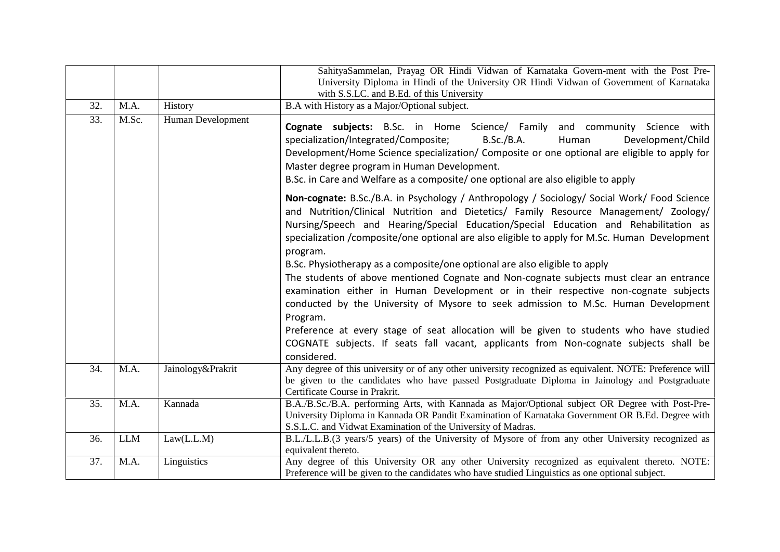|     |            |                   | SahityaSammelan, Prayag OR Hindi Vidwan of Karnataka Govern-ment with the Post Pre-<br>University Diploma in Hindi of the University OR Hindi Vidwan of Government of Karnataka<br>with S.S.LC. and B.Ed. of this University                                                                                                                                                                                                                                           |
|-----|------------|-------------------|------------------------------------------------------------------------------------------------------------------------------------------------------------------------------------------------------------------------------------------------------------------------------------------------------------------------------------------------------------------------------------------------------------------------------------------------------------------------|
| 32. | M.A.       | History           | B.A with History as a Major/Optional subject.                                                                                                                                                                                                                                                                                                                                                                                                                          |
| 33. | M.Sc.      | Human Development | Cognate subjects: B.Sc. in Home Science/ Family and community Science with<br>specialization/Integrated/Composite;<br>B.Sc./B.A.<br>Human<br>Development/Child<br>Development/Home Science specialization/ Composite or one optional are eligible to apply for<br>Master degree program in Human Development.<br>B.Sc. in Care and Welfare as a composite/ one optional are also eligible to apply                                                                     |
|     |            |                   | Non-cognate: B.Sc./B.A. in Psychology / Anthropology / Sociology/ Social Work/ Food Science<br>and Nutrition/Clinical Nutrition and Dietetics/ Family Resource Management/ Zoology/<br>Nursing/Speech and Hearing/Special Education/Special Education and Rehabilitation as<br>specialization /composite/one optional are also eligible to apply for M.Sc. Human Development<br>program.<br>B.Sc. Physiotherapy as a composite/one optional are also eligible to apply |
|     |            |                   | The students of above mentioned Cognate and Non-cognate subjects must clear an entrance<br>examination either in Human Development or in their respective non-cognate subjects<br>conducted by the University of Mysore to seek admission to M.Sc. Human Development<br>Program.                                                                                                                                                                                       |
|     |            |                   | Preference at every stage of seat allocation will be given to students who have studied<br>COGNATE subjects. If seats fall vacant, applicants from Non-cognate subjects shall be<br>considered.                                                                                                                                                                                                                                                                        |
| 34. | M.A.       | Jainology&Prakrit | Any degree of this university or of any other university recognized as equivalent. NOTE: Preference will<br>be given to the candidates who have passed Postgraduate Diploma in Jainology and Postgraduate<br>Certificate Course in Prakrit.                                                                                                                                                                                                                            |
| 35. | M.A.       | Kannada           | B.A./B.Sc./B.A. performing Arts, with Kannada as Major/Optional subject OR Degree with Post-Pre-<br>University Diploma in Kannada OR Pandit Examination of Karnataka Government OR B.Ed. Degree with<br>S.S.L.C. and Vidwat Examination of the University of Madras.                                                                                                                                                                                                   |
| 36. | <b>LLM</b> | Law(L.L.M)        | B.L./L.L.B.(3 years/5 years) of the University of Mysore of from any other University recognized as<br>equivalent thereto.                                                                                                                                                                                                                                                                                                                                             |
| 37. | M.A.       | Linguistics       | Any degree of this University OR any other University recognized as equivalent thereto. NOTE:<br>Preference will be given to the candidates who have studied Linguistics as one optional subject.                                                                                                                                                                                                                                                                      |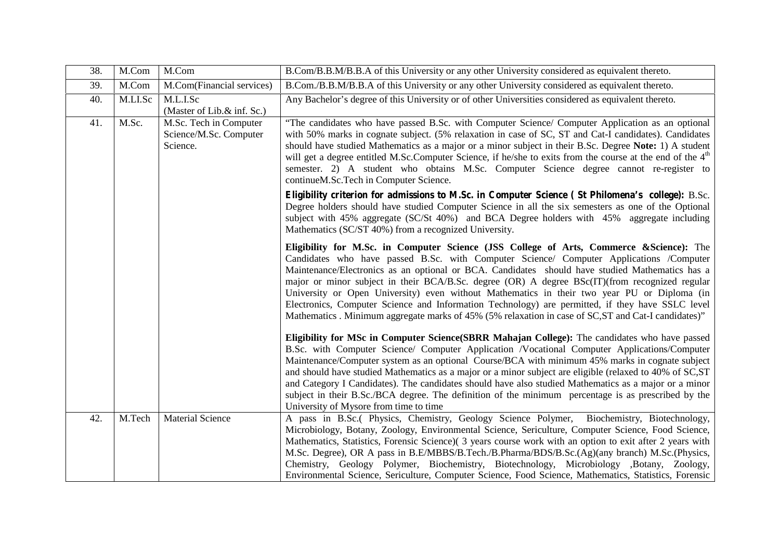| 38. | M.Com   | M.Com                                                        | B.Com/B.B.M/B.B.A of this University or any other University considered as equivalent thereto.                                                                                                                                                                                                                                                                                                                                                                                                                                                                                                                                                                                                      |
|-----|---------|--------------------------------------------------------------|-----------------------------------------------------------------------------------------------------------------------------------------------------------------------------------------------------------------------------------------------------------------------------------------------------------------------------------------------------------------------------------------------------------------------------------------------------------------------------------------------------------------------------------------------------------------------------------------------------------------------------------------------------------------------------------------------------|
| 39. | M.Com   | M.Com(Financial services)                                    | B.Com./B.B.M/B.B.A of this University or any other University considered as equivalent thereto.                                                                                                                                                                                                                                                                                                                                                                                                                                                                                                                                                                                                     |
| 40. | M.LI.Sc | M.L.I.Sc<br>(Master of Lib.& inf. Sc.)                       | Any Bachelor's degree of this University or of other Universities considered as equivalent thereto.                                                                                                                                                                                                                                                                                                                                                                                                                                                                                                                                                                                                 |
| 41. | M.Sc.   | M.Sc. Tech in Computer<br>Science/M.Sc. Computer<br>Science. | "The candidates who have passed B.Sc. with Computer Science/ Computer Application as an optional<br>with 50% marks in cognate subject. (5% relaxation in case of SC, ST and Cat-I candidates). Candidates<br>should have studied Mathematics as a major or a minor subject in their B.Sc. Degree Note: 1) A student<br>will get a degree entitled M.Sc.Computer Science, if he/she to exits from the course at the end of the 4 <sup>th</sup><br>semester. 2) A student who obtains M.Sc. Computer Science degree cannot re-register to<br>continueM.Sc.Tech in Computer Science.                                                                                                                   |
|     |         |                                                              | Eligibility criterion for admissions to M.Sc. in Computer Science (St Philomena's college): B.Sc.<br>Degree holders should have studied Computer Science in all the six semesters as one of the Optional<br>subject with 45% aggregate (SC/St 40%) and BCA Degree holders with 45% aggregate including<br>Mathematics (SC/ST 40%) from a recognized University.                                                                                                                                                                                                                                                                                                                                     |
|     |         |                                                              | Eligibility for M.Sc. in Computer Science (JSS College of Arts, Commerce & Science): The<br>Candidates who have passed B.Sc. with Computer Science/ Computer Applications /Computer<br>Maintenance/Electronics as an optional or BCA. Candidates should have studied Mathematics has a<br>major or minor subject in their BCA/B.Sc. degree (OR) A degree BSc(IT)(from recognized regular<br>University or Open University) even without Mathematics in their two year PU or Diploma (in<br>Electronics, Computer Science and Information Technology) are permitted, if they have SSLC level<br>Mathematics . Minimum aggregate marks of 45% (5% relaxation in case of SC, ST and Cat-I candidates)" |
|     |         |                                                              | Eligibility for MSc in Computer Science(SBRR Mahajan College): The candidates who have passed<br>B.Sc. with Computer Science/ Computer Application /Vocational Computer Applications/Computer<br>Maintenance/Computer system as an optional Course/BCA with minimum 45% marks in cognate subject<br>and should have studied Mathematics as a major or a minor subject are eligible (relaxed to 40% of SC, ST<br>and Category I Candidates). The candidates should have also studied Mathematics as a major or a minor<br>subject in their B.Sc./BCA degree. The definition of the minimum percentage is as prescribed by the<br>University of Mysore from time to time                              |
| 42. | M.Tech  | <b>Material Science</b>                                      | A pass in B.Sc.( Physics, Chemistry, Geology Science Polymer, Biochemistry, Biotechnology,<br>Microbiology, Botany, Zoology, Environmental Science, Sericulture, Computer Science, Food Science,<br>Mathematics, Statistics, Forensic Science) (3 years course work with an option to exit after 2 years with<br>M.Sc. Degree), OR A pass in B.E/MBBS/B.Tech./B.Pharma/BDS/B.Sc.(Ag)(any branch) M.Sc.(Physics,<br>Chemistry, Geology Polymer, Biochemistry, Biotechnology, Microbiology ,Botany, Zoology,<br>Environmental Science, Sericulture, Computer Science, Food Science, Mathematics, Statistics, Forensic                                                                                 |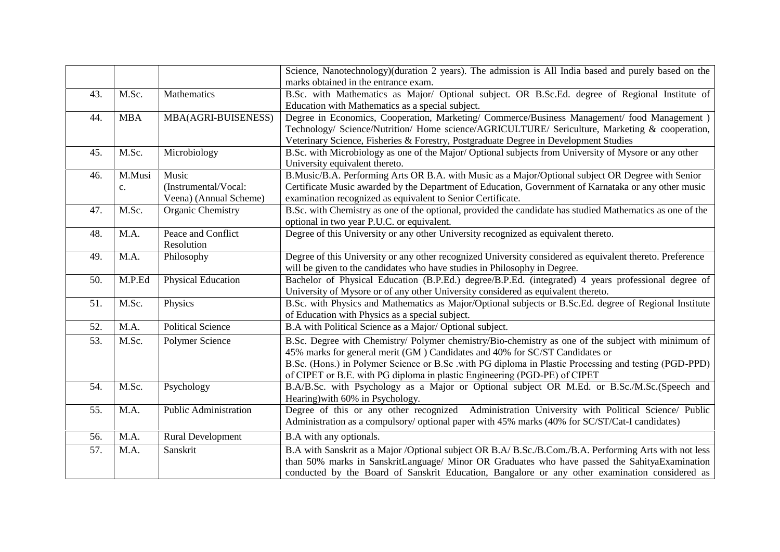|     |              |                                                         | Science, Nanotechnology)(duration 2 years). The admission is All India based and purely based on the                                                                                                                                                                                                      |
|-----|--------------|---------------------------------------------------------|-----------------------------------------------------------------------------------------------------------------------------------------------------------------------------------------------------------------------------------------------------------------------------------------------------------|
|     |              |                                                         | marks obtained in the entrance exam.                                                                                                                                                                                                                                                                      |
| 43. | M.Sc.        | Mathematics                                             | B.Sc. with Mathematics as Major/ Optional subject. OR B.Sc.Ed. degree of Regional Institute of<br>Education with Mathematics as a special subject.                                                                                                                                                        |
| 44. | <b>MBA</b>   | MBA(AGRI-BUISENESS)                                     | Degree in Economics, Cooperation, Marketing/ Commerce/Business Management/ food Management)<br>Technology/ Science/Nutrition/ Home science/AGRICULTURE/ Sericulture, Marketing & cooperation,<br>Veterinary Science, Fisheries & Forestry, Postgraduate Degree in Development Studies                     |
| 45. | M.Sc.        | Microbiology                                            | B.Sc. with Microbiology as one of the Major/Optional subjects from University of Mysore or any other<br>University equivalent thereto.                                                                                                                                                                    |
| 46. | M.Musi<br>c. | Music<br>(Instrumental/Vocal:<br>Veena) (Annual Scheme) | B.Music/B.A. Performing Arts OR B.A. with Music as a Major/Optional subject OR Degree with Senior<br>Certificate Music awarded by the Department of Education, Government of Karnataka or any other music<br>examination recognized as equivalent to Senior Certificate.                                  |
| 47. | M.Sc.        | Organic Chemistry                                       | B.Sc. with Chemistry as one of the optional, provided the candidate has studied Mathematics as one of the<br>optional in two year P.U.C. or equivalent.                                                                                                                                                   |
| 48. | M.A.         | Peace and Conflict<br>Resolution                        | Degree of this University or any other University recognized as equivalent thereto.                                                                                                                                                                                                                       |
| 49. | M.A.         | Philosophy                                              | Degree of this University or any other recognized University considered as equivalent thereto. Preference<br>will be given to the candidates who have studies in Philosophy in Degree.                                                                                                                    |
| 50. | M.P.Ed       | <b>Physical Education</b>                               | Bachelor of Physical Education (B.P.Ed.) degree/B.P.Ed. (integrated) 4 years professional degree of<br>University of Mysore or of any other University considered as equivalent thereto.                                                                                                                  |
| 51. | M.Sc.        | Physics                                                 | B.Sc. with Physics and Mathematics as Major/Optional subjects or B.Sc.Ed. degree of Regional Institute<br>of Education with Physics as a special subject.                                                                                                                                                 |
| 52. | M.A.         | <b>Political Science</b>                                | B.A with Political Science as a Major/ Optional subject.                                                                                                                                                                                                                                                  |
| 53. | M.Sc.        | Polymer Science                                         | B.Sc. Degree with Chemistry/ Polymer chemistry/Bio-chemistry as one of the subject with minimum of<br>45% marks for general merit (GM) Candidates and 40% for SC/ST Candidates or<br>B.Sc. (Hons.) in Polymer Science or B.Sc .with PG diploma in Plastic Processing and testing (PGD-PPD)                |
|     |              |                                                         | of CIPET or B.E. with PG diploma in plastic Engineering (PGD-PE) of CIPET                                                                                                                                                                                                                                 |
| 54. | M.Sc.        | Psychology                                              | B.A/B.Sc. with Psychology as a Major or Optional subject OR M.Ed. or B.Sc./M.Sc.(Speech and<br>Hearing) with 60% in Psychology.                                                                                                                                                                           |
| 55. | M.A.         | <b>Public Administration</b>                            | Degree of this or any other recognized Administration University with Political Science/ Public<br>Administration as a compulsory/ optional paper with 45% marks (40% for SC/ST/Cat-I candidates)                                                                                                         |
| 56. | M.A.         | <b>Rural Development</b>                                | B.A with any optionals.                                                                                                                                                                                                                                                                                   |
| 57. | M.A.         | Sanskrit                                                | B.A with Sanskrit as a Major /Optional subject OR B.A/ B.Sc./B.Com./B.A. Performing Arts with not less<br>than 50% marks in SanskritLanguage/ Minor OR Graduates who have passed the SahityaExamination<br>conducted by the Board of Sanskrit Education, Bangalore or any other examination considered as |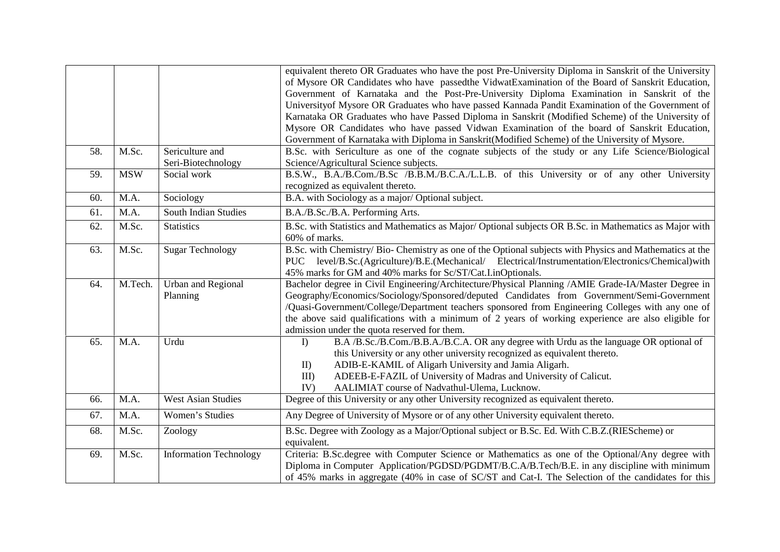|     |            |                                       | equivalent thereto OR Graduates who have the post Pre-University Diploma in Sanskrit of the University<br>of Mysore OR Candidates who have passed the VidwatExamination of the Board of Sanskrit Education,<br>Government of Karnataka and the Post-Pre-University Diploma Examination in Sanskrit of the<br>University of Mysore OR Graduates who have passed Kannada Pandit Examination of the Government of<br>Karnataka OR Graduates who have Passed Diploma in Sanskrit (Modified Scheme) of the University of |
|-----|------------|---------------------------------------|---------------------------------------------------------------------------------------------------------------------------------------------------------------------------------------------------------------------------------------------------------------------------------------------------------------------------------------------------------------------------------------------------------------------------------------------------------------------------------------------------------------------|
|     |            |                                       | Mysore OR Candidates who have passed Vidwan Examination of the board of Sanskrit Education,<br>Government of Karnataka with Diploma in Sanskrit(Modified Scheme) of the University of Mysore.                                                                                                                                                                                                                                                                                                                       |
| 58. | M.Sc.      | Sericulture and<br>Seri-Biotechnology | B.Sc. with Sericulture as one of the cognate subjects of the study or any Life Science/Biological<br>Science/Agricultural Science subjects.                                                                                                                                                                                                                                                                                                                                                                         |
| 59. | <b>MSW</b> | Social work                           | B.S.W., B.A./B.Com./B.Sc /B.B.M./B.C.A./L.L.B. of this University or of any other University<br>recognized as equivalent thereto.                                                                                                                                                                                                                                                                                                                                                                                   |
| 60. | M.A.       | Sociology                             | B.A. with Sociology as a major/Optional subject.                                                                                                                                                                                                                                                                                                                                                                                                                                                                    |
| 61. | M.A.       | South Indian Studies                  | B.A./B.Sc./B.A. Performing Arts.                                                                                                                                                                                                                                                                                                                                                                                                                                                                                    |
| 62. | M.Sc.      | <b>Statistics</b>                     | B.Sc. with Statistics and Mathematics as Major/Optional subjects OR B.Sc. in Mathematics as Major with<br>60% of marks.                                                                                                                                                                                                                                                                                                                                                                                             |
| 63. | M.Sc.      | <b>Sugar Technology</b>               | B.Sc. with Chemistry/ Bio- Chemistry as one of the Optional subjects with Physics and Mathematics at the<br>PUC level/B.Sc.(Agriculture)/B.E.(Mechanical/ Electrical/Instrumentation/Electronics/Chemical)with<br>45% marks for GM and 40% marks for Sc/ST/Cat.I.inOptionals.                                                                                                                                                                                                                                       |
| 64. | M.Tech.    | <b>Urban and Regional</b><br>Planning | Bachelor degree in Civil Engineering/Architecture/Physical Planning /AMIE Grade-IA/Master Degree in<br>Geography/Economics/Sociology/Sponsored/deputed Candidates from Government/Semi-Government<br>/Quasi-Government/College/Department teachers sponsored from Engineering Colleges with any one of<br>the above said qualifications with a minimum of 2 years of working experience are also eligible for<br>admission under the quota reserved for them.                                                       |
| 65. | M.A.       | Urdu                                  | B.A /B.Sc./B.Com./B.B.A./B.C.A. OR any degree with Urdu as the language OR optional of<br>I<br>this University or any other university recognized as equivalent thereto.<br>ADIB-E-KAMIL of Aligarh University and Jamia Aligarh.<br>II)<br>ADEEB-E-FAZIL of University of Madras and University of Calicut.<br>$III$ )<br>AALIMIAT course of Nadvathul-Ulema, Lucknow.<br>IV)                                                                                                                                      |
| 66. | M.A.       | <b>West Asian Studies</b>             | Degree of this University or any other University recognized as equivalent thereto.                                                                                                                                                                                                                                                                                                                                                                                                                                 |
| 67. | M.A.       | Women's Studies                       | Any Degree of University of Mysore or of any other University equivalent thereto.                                                                                                                                                                                                                                                                                                                                                                                                                                   |
| 68. | M.Sc.      | Zoology                               | B.Sc. Degree with Zoology as a Major/Optional subject or B.Sc. Ed. With C.B.Z. (RIEScheme) or<br>equivalent.                                                                                                                                                                                                                                                                                                                                                                                                        |
| 69. | M.Sc.      | <b>Information Technology</b>         | Criteria: B.Sc.degree with Computer Science or Mathematics as one of the Optional/Any degree with<br>Diploma in Computer Application/PGDSD/PGDMT/B.C.A/B.Tech/B.E. in any discipline with minimum<br>of 45% marks in aggregate (40% in case of SC/ST and Cat-I. The Selection of the candidates for this                                                                                                                                                                                                            |